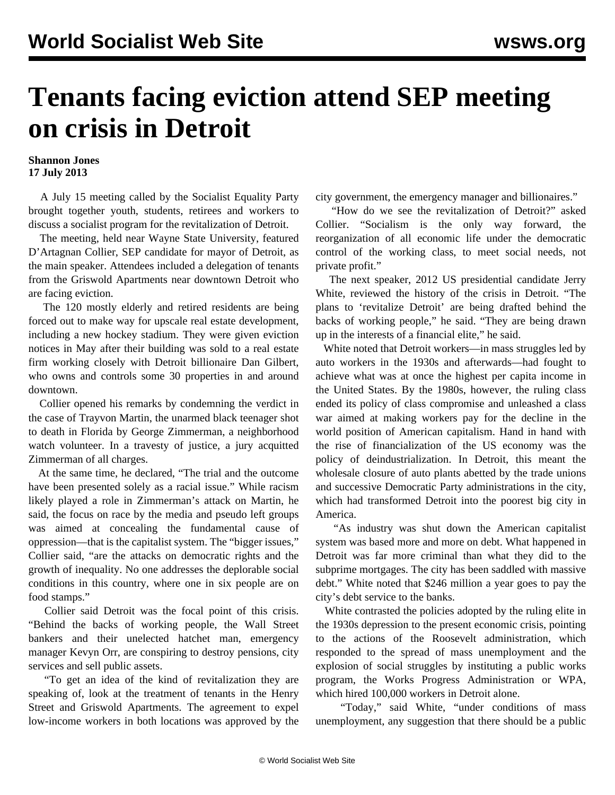## **Tenants facing eviction attend SEP meeting on crisis in Detroit**

## **Shannon Jones 17 July 2013**

 A July 15 meeting called by the Socialist Equality Party brought together youth, students, retirees and workers to discuss a socialist program for the revitalization of Detroit.

 The meeting, held near Wayne State University, featured D'Artagnan Collier, SEP candidate for mayor of Detroit, as the main speaker. Attendees included a delegation of tenants from the Griswold Apartments near downtown Detroit who are facing eviction.

 The 120 mostly elderly and retired residents are being forced out to make way for upscale real estate development, including a new hockey stadium. They were given eviction notices in May after their building was sold to a real estate firm working closely with Detroit billionaire Dan Gilbert, who owns and controls some 30 properties in and around downtown.

 Collier opened his remarks by condemning the verdict in the case of Trayvon Martin, the unarmed black teenager shot to death in Florida by George Zimmerman, a neighborhood watch volunteer. In a travesty of justice, a jury acquitted Zimmerman of all charges.

 At the same time, he declared, "The trial and the outcome have been presented solely as a racial issue." While racism likely played a role in Zimmerman's attack on Martin, he said, the focus on race by the media and pseudo left groups was aimed at concealing the fundamental cause of oppression—that is the capitalist system. The "bigger issues," Collier said, "are the attacks on democratic rights and the growth of inequality. No one addresses the deplorable social conditions in this country, where one in six people are on food stamps."

 Collier said Detroit was the focal point of this crisis. "Behind the backs of working people, the Wall Street bankers and their unelected hatchet man, emergency manager Kevyn Orr, are conspiring to destroy pensions, city services and sell public assets.

 "To get an idea of the kind of revitalization they are speaking of, look at the treatment of tenants in the Henry Street and Griswold Apartments. The agreement to expel low-income workers in both locations was approved by the city government, the emergency manager and billionaires."

 "How do we see the revitalization of Detroit?" asked Collier. "Socialism is the only way forward, the reorganization of all economic life under the democratic control of the working class, to meet social needs, not private profit."

 The next speaker, 2012 US presidential candidate Jerry White, reviewed the history of the crisis in Detroit. "The plans to 'revitalize Detroit' are being drafted behind the backs of working people," he said. "They are being drawn up in the interests of a financial elite," he said.

 White noted that Detroit workers—in mass struggles led by auto workers in the 1930s and afterwards—had fought to achieve what was at once the highest per capita income in the United States. By the 1980s, however, the ruling class ended its policy of class compromise and unleashed a class war aimed at making workers pay for the decline in the world position of American capitalism. Hand in hand with the rise of financialization of the US economy was the policy of deindustrialization. In Detroit, this meant the wholesale closure of auto plants abetted by the trade unions and successive Democratic Party administrations in the city, which had transformed Detroit into the poorest big city in America.

 "As industry was shut down the American capitalist system was based more and more on debt. What happened in Detroit was far more criminal than what they did to the subprime mortgages. The city has been saddled with massive debt." White noted that \$246 million a year goes to pay the city's debt service to the banks.

 White contrasted the policies adopted by the ruling elite in the 1930s depression to the present economic crisis, pointing to the actions of the Roosevelt administration, which responded to the spread of mass unemployment and the explosion of social struggles by instituting a public works program, the Works Progress Administration or WPA, which hired 100,000 workers in Detroit alone.

 "Today," said White, "under conditions of mass unemployment, any suggestion that there should be a public